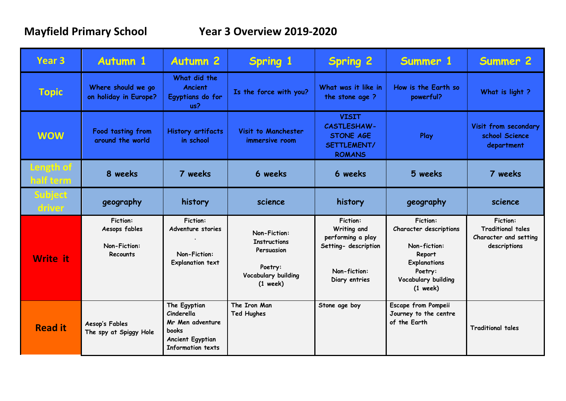| Year <sub>3</sub>        | <b>Autumn 1</b>                                              | <b>Autumn 2</b>                                                                                                       | <b>Spring 1</b>                                                                                   | <b>Spring 2</b>                                                                                              | Summer 1                                                                                                                                   | <b>Summer 2</b>                                                                      |
|--------------------------|--------------------------------------------------------------|-----------------------------------------------------------------------------------------------------------------------|---------------------------------------------------------------------------------------------------|--------------------------------------------------------------------------------------------------------------|--------------------------------------------------------------------------------------------------------------------------------------------|--------------------------------------------------------------------------------------|
| <b>Topic</b>             | Where should we go<br>on holiday in Europe?                  | What did the<br><b>Ancient</b><br>Egyptians do for<br>us?                                                             | Is the force with you?                                                                            | What was it like in<br>the stone age?                                                                        | How is the Earth so<br>powerful?                                                                                                           | What is light?                                                                       |
| <b>WOW</b>               | Food tasting from<br>around the world                        | <b>History artifacts</b><br>in school                                                                                 | Visit to Manchester<br>immersive room                                                             | <b>VISIT</b><br><b>CASTLESHAW-</b><br><b>STONE AGE</b><br>SETTLEMENT/<br><b>ROMANS</b>                       | Play                                                                                                                                       | Visit from secondary<br>school Science<br>department                                 |
| Length of<br>half term   | 8 weeks                                                      | 7 weeks                                                                                                               | 6 weeks                                                                                           | 6 weeks                                                                                                      | 5 weeks                                                                                                                                    | 7 weeks                                                                              |
| <b>Subject</b><br>driver | geography                                                    | history                                                                                                               | science                                                                                           | history                                                                                                      | geography                                                                                                                                  | science                                                                              |
| <b>Write it</b>          | <b>Fiction:</b><br>Aesops fables<br>Non-Fiction:<br>Recounts | <b>Fiction:</b><br>Adventure stories<br>Non-Fiction:<br><b>Explanation text</b>                                       | Non-Fiction:<br><b>Instructions</b><br>Persuasion<br>Poetry:<br>Vocabulary building<br>$(1$ week) | <b>Fiction:</b><br>Writing and<br>performing a play<br>Setting- description<br>Non-fiction:<br>Diary entries | <b>Fiction:</b><br>Character descriptions<br>Non-fiction:<br>Report<br><b>Explanations</b><br>Poetry:<br>Vocabulary building<br>$(1$ week) | <b>Fiction:</b><br><b>Traditional tales</b><br>Character and setting<br>descriptions |
| <b>Read it</b>           | Aesop's Fables<br>The spy at Spiggy Hole                     | The Egyptian<br>Cinderella<br>Mr Men adventure<br><b>books</b><br><b>Ancient Egyptian</b><br><b>Information texts</b> | The Iron Man<br><b>Ted Hughes</b>                                                                 | Stone age boy                                                                                                | <b>Escape from Pompeii</b><br>Journey to the centre<br>of the Earth                                                                        | <b>Traditional tales</b>                                                             |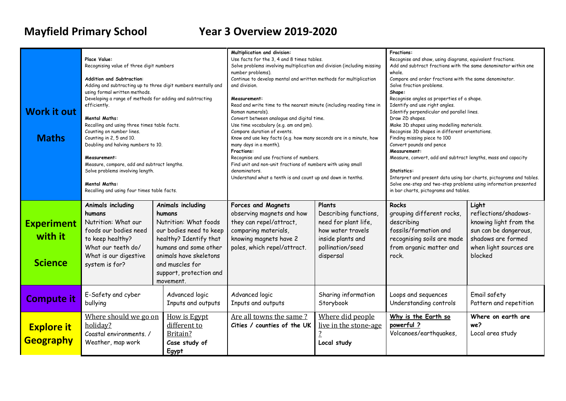# **Mayfield Primary School Year 3 Overview 2019-2020**

| <b>Work it out</b><br><b>Maths</b>             | Place Value:<br>Recognising value of three digit numbers<br><b>Addition and Subtraction:</b><br>Adding and subtracting up to three digit numbers mentally and<br>using formal written methods.<br>Developing a range of methods for adding and subtracting<br>efficiently.<br><b>Mental Maths:</b><br>Recalling and using three times table facts.<br>Counting on number lines.<br>Counting in 2, 5 and 10.<br>Doubling and halving numbers to 10.<br>Measurement:<br>Measure, compare, add and subtract lengths.<br>Solve problems involving length.<br><b>Mental Maths:</b><br>Recalling and using four times table facts. |                                                                                                                                                                                                                         | Multiplication and division:<br>Use facts for the 3, 4 and 8 times tables.<br>Solve problems involving multiplication and division (including missing<br>number problems).<br>Continue to develop mental and written methods for multiplication<br>and division.<br>Measurement:<br>Read and write time to the nearest minute (including reading time in<br>Roman numerals).<br>Convert between analogue and digital time.<br>Use time vocabulary (e.g. am and pm).<br>Compare duration of events.<br>Know and use key facts (e.g. how many seconds are in a minute, how<br>many days in a month).<br>Fractions:<br>Recognise and use fractions of numbers.<br>Find unit and non-unit fractions of numbers with using small<br>denominators.<br>Understand what a tenth is and count up and down in tenths. |                                                                                                                                   | Fractions:<br>Recognise and show, using diagrams, equivalent fractions.<br>Add and subtract fractions with the same denominator within one<br>whole.<br>Compare and order fractions with the same denominator.<br>Solve fraction problems.<br>Shape:<br>Recognise angles as properties of a shape.<br>Identify and use right angles.<br>Identify perpendicular and parallel lines.<br>Draw 2D shapes.<br>Make 3D shapes using modelling materials.<br>Recognise 3D shapes in different orientations.<br>Finding missing piece to 100<br>Convert pounds and pence<br>Measurement:<br>Measure, convert, add and subtract lengths, mass and capacity<br>Statistics:<br>Interpret and present data using bar charts, pictograms and tables.<br>Solve one-step and two-step problems using information presented<br>in bar charts, pictograms and tables. |                                                                                                                                             |
|------------------------------------------------|------------------------------------------------------------------------------------------------------------------------------------------------------------------------------------------------------------------------------------------------------------------------------------------------------------------------------------------------------------------------------------------------------------------------------------------------------------------------------------------------------------------------------------------------------------------------------------------------------------------------------|-------------------------------------------------------------------------------------------------------------------------------------------------------------------------------------------------------------------------|-------------------------------------------------------------------------------------------------------------------------------------------------------------------------------------------------------------------------------------------------------------------------------------------------------------------------------------------------------------------------------------------------------------------------------------------------------------------------------------------------------------------------------------------------------------------------------------------------------------------------------------------------------------------------------------------------------------------------------------------------------------------------------------------------------------|-----------------------------------------------------------------------------------------------------------------------------------|------------------------------------------------------------------------------------------------------------------------------------------------------------------------------------------------------------------------------------------------------------------------------------------------------------------------------------------------------------------------------------------------------------------------------------------------------------------------------------------------------------------------------------------------------------------------------------------------------------------------------------------------------------------------------------------------------------------------------------------------------------------------------------------------------------------------------------------------------|---------------------------------------------------------------------------------------------------------------------------------------------|
| <b>Experiment</b><br>with it<br><b>Science</b> | Animals including<br>humans<br>Nutrition: What our<br>foods our bodies need<br>to keep healthy?<br>What our teeth do/<br>What is our digestive<br>system is for?                                                                                                                                                                                                                                                                                                                                                                                                                                                             | Animals including<br>humans<br>Nutrition: What foods<br>our bodies need to keep<br>healthy? Identify that<br>humans and some other<br>animals have skeletons<br>and muscles for<br>support, protection and<br>movement. | <b>Forces and Magnets</b><br>observing magnets and how<br>they can repel/attract,<br>comparing materials,<br>knowing magnets have 2<br>poles, which repel/attract.                                                                                                                                                                                                                                                                                                                                                                                                                                                                                                                                                                                                                                          | Plants<br>Describing functions<br>need for plant life,<br>how water travels<br>inside plants and<br>pollination/seed<br>dispersal | <b>Rocks</b><br>grouping different rocks,<br>describing<br>fossils/formation and<br>recognising soils are made<br>from organic matter and<br>rock.                                                                                                                                                                                                                                                                                                                                                                                                                                                                                                                                                                                                                                                                                                   | Light<br>reflections/shadows-<br>knowing light from the<br>sun can be dangerous,<br>shadows are formed<br>when light sources are<br>blocked |
| <b>Compute it</b>                              | E-Safety and cyber<br>bullying                                                                                                                                                                                                                                                                                                                                                                                                                                                                                                                                                                                               | Advanced logic<br>Inputs and outputs                                                                                                                                                                                    | Advanced logic<br>Inputs and outputs                                                                                                                                                                                                                                                                                                                                                                                                                                                                                                                                                                                                                                                                                                                                                                        | Sharing information<br>Storybook                                                                                                  | Loops and sequences<br>Understanding controls                                                                                                                                                                                                                                                                                                                                                                                                                                                                                                                                                                                                                                                                                                                                                                                                        | Email safety<br>Pattern and repetition                                                                                                      |
| <b>Explore it</b><br><b>Geography</b>          | Where should we go on<br>holiday?<br>Coastal environments. /<br>Weather, map work                                                                                                                                                                                                                                                                                                                                                                                                                                                                                                                                            | <b>How is Egypt</b><br>different to<br>Britain?<br>Case study of<br>Egypt                                                                                                                                               | Are all towns the same?<br>Cities / counties of the UK                                                                                                                                                                                                                                                                                                                                                                                                                                                                                                                                                                                                                                                                                                                                                      | Where did people<br>live in the stone-age<br>$\overline{1}$<br>Local study                                                        | Why is the Earth so<br>powerful ?<br>Volcanoes/earthquakes,                                                                                                                                                                                                                                                                                                                                                                                                                                                                                                                                                                                                                                                                                                                                                                                          | Where on earth are<br>we?<br>Local area study                                                                                               |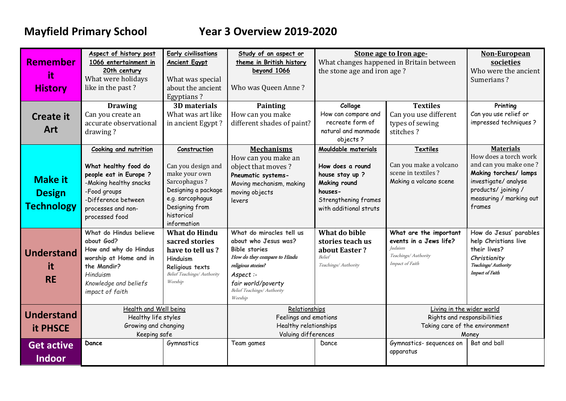# **Mayfield Primary School Year 3 Overview 2019-2020**

| <b>Remember</b><br>it.<br><b>History</b>             | Aspect of history post<br>1066 entertainment in<br>20th century<br>What were holidays<br>like in the past?                                                                       | <b>Early civilisations</b><br><b>Ancient Egypt</b><br>What was special<br>about the ancient<br><b>Egyptians?</b>                                              | Study of an aspect or<br>theme in British history<br>beyond 1066<br>Who was Queen Anne?                                                                                                                   | Stone age to Iron age-<br>What changes happened in Britain between<br>the stone age and iron age?                                       |                                                                                                               | Non-European<br>societies<br>Who were the ancient<br>Sumerians?                                                                                                                 |
|------------------------------------------------------|----------------------------------------------------------------------------------------------------------------------------------------------------------------------------------|---------------------------------------------------------------------------------------------------------------------------------------------------------------|-----------------------------------------------------------------------------------------------------------------------------------------------------------------------------------------------------------|-----------------------------------------------------------------------------------------------------------------------------------------|---------------------------------------------------------------------------------------------------------------|---------------------------------------------------------------------------------------------------------------------------------------------------------------------------------|
| <b>Create it</b><br>Art                              | <b>Drawing</b><br>Can you create an<br>accurate observational<br>drawing?                                                                                                        | 3D materials<br>What was art like<br>in ancient Egypt?                                                                                                        | Painting<br>How can you make<br>different shades of paint?                                                                                                                                                | Collage<br>How can compare and<br>recreate form of<br>natural and manmade<br>objects?                                                   | <b>Textiles</b><br>Can you use different<br>types of sewing<br>stitches?                                      | Printing<br>Can you use relief or<br>impressed techniques?                                                                                                                      |
| <b>Make it</b><br><b>Design</b><br><b>Technology</b> | Cooking and nutrition<br>What healthy food do<br>people eat in Europe ?<br>-Making healthy snacks<br>-Food groups<br>-Difference between<br>processes and non-<br>processed food | Construction<br>Can you design and<br>make your own<br>Sarcophagus?<br>Designing a package<br>e.g. sarcophagus<br>Designing from<br>historical<br>information | <b>Mechanisms</b><br>How can you make an<br>object that moves?<br>Pneumatic systems-<br>Moving mechanism, making<br>moving objects<br>levers                                                              | Mouldable materials<br>How does a round<br>house stay up ?<br>Making round<br>houses-<br>Strengthening frames<br>with additional struts | <b>Textiles</b><br>Can you make a volcano<br>scene in textiles?<br>Making a volcano scene                     | <b>Materials</b><br>How does a torch work<br>and can you make one?<br>Making torches/ lamps<br>investigate/ analyse<br>products/ joining /<br>measuring / marking out<br>frames |
| <b>Understand</b><br>it.<br><b>RE</b>                | What do Hindus believe<br>about God?<br>How and why do Hindus<br>worship at Home and in<br>the Mandir?<br>Hinduism<br>Knowledge and beliefs<br>impact of faith                   | <b>What do Hindu</b><br>sacred stories<br>have to tell us?<br>Hinduism<br>Religious texts<br>Belief Teachings/ Authority<br>Worship                           | What do miracles tell us<br>about who Jesus was?<br><b>Bible stories</b><br>How do they compare to Hindu<br>religious stories?<br>Aspect:<br>fair world/poverty<br>Belief Teachings/ Authority<br>Worship | What do bible<br>stories teach us<br>about Easter?<br><b>Belief</b><br>Teachings/ Authority                                             | What are the important<br>events in a Jews life?<br><i>Judaism</i><br>Teachings/ Authority<br>Impact of Faith | How do Jesus' parables<br>help Christians live<br>their lives?<br>Christianity<br>Teachings/ Authority<br>Impact of Faith                                                       |
| <b>Understand</b><br><b>it PHSCE</b>                 | Health and Well being<br>Healthy life styles<br>Growing and changing<br>Keeping safe                                                                                             |                                                                                                                                                               | Relationships<br>Feelings and emotions<br>Healthy relationships<br>Valuing differences                                                                                                                    |                                                                                                                                         | Living in the wider world<br>Rights and responsibilities<br>Taking care of the environment<br>Money           |                                                                                                                                                                                 |
| <b>Get active</b><br><b>Indoor</b>                   | Dance                                                                                                                                                                            | Gymnastics                                                                                                                                                    | Team games                                                                                                                                                                                                | Dance                                                                                                                                   | Gymnastics- sequences on<br>apparatus                                                                         | Bat and ball                                                                                                                                                                    |